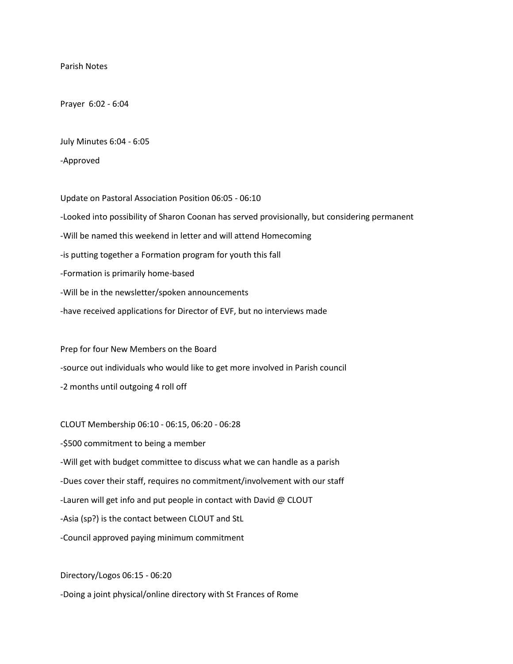## Parish Notes

Prayer 6:02 - 6:04

July Minutes 6:04 - 6:05

-Approved

Update on Pastoral Association Position 06:05 - 06:10 -Looked into possibility of Sharon Coonan has served provisionally, but considering permanent -Will be named this weekend in letter and will attend Homecoming -is putting together a Formation program for youth this fall -Formation is primarily home-based -Will be in the newsletter/spoken announcements -have received applications for Director of EVF, but no interviews made

Prep for four New Members on the Board -source out individuals who would like to get more involved in Parish council -2 months until outgoing 4 roll off

CLOUT Membership 06:10 - 06:15, 06:20 - 06:28 -\$500 commitment to being a member -Will get with budget committee to discuss what we can handle as a parish -Dues cover their staff, requires no commitment/involvement with our staff -Lauren will get info and put people in contact with David @ CLOUT -Asia (sp?) is the contact between CLOUT and StL -Council approved paying minimum commitment

Directory/Logos 06:15 - 06:20 -Doing a joint physical/online directory with St Frances of Rome